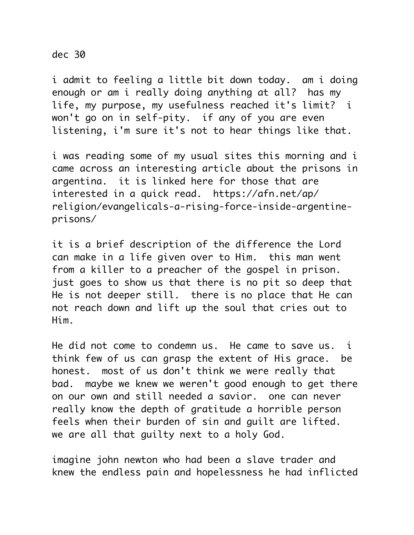## dec 30

i admit to feeling a little bit down today. am i doing enough or am i really doing anything at all? has my life, my purpose, my usefulness reached it's limit? i won't go on in self-pity. if any of you are even listening, i'm sure it's not to hear things like that.

i was reading some of my usual sites this morning and i came across an interesting article about the prisons in argentina. it is linked here for those that are interested in a quick read. https://afn.net/ap/ religion/evangelicals-a-rising-force-inside-argentineprisons/

it is a brief description of the difference the Lord can make in a life given over to Him. this man went from a killer to a preacher of the gospel in prison. just goes to show us that there is no pit so deep that He is not deeper still. there is no place that He can not reach down and lift up the soul that cries out to Him.

He did not come to condemn us. He came to save us. i think few of us can grasp the extent of His grace. be honest. most of us don't think we were really that bad. maybe we knew we weren't good enough to get there on our own and still needed a savior. one can never really know the depth of gratitude a horrible person feels when their burden of sin and guilt are lifted. we are all that guilty next to a holy God.

imagine john newton who had been a slave trader and knew the endless pain and hopelessness he had inflicted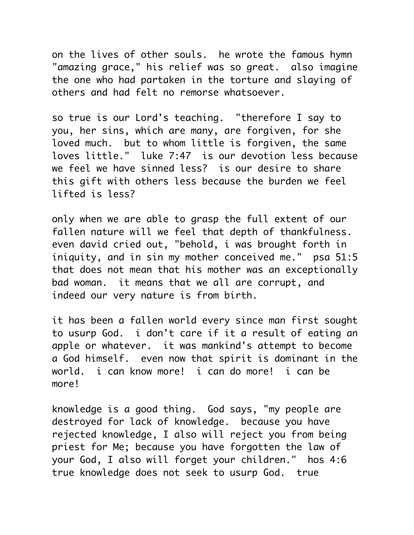on the lives of other souls. he wrote the famous hymn "amazing grace," his relief was so great. also imagine the one who had partaken in the torture and slaying of others and had felt no remorse whatsoever.

so true is our Lord's teaching. "therefore I say to you, her sins, which are many, are forgiven, for she loved much. but to whom little is forgiven, the same loves little." luke 7:47 is our devotion less because we feel we have sinned less? is our desire to share this gift with others less because the burden we feel lifted is less?

only when we are able to grasp the full extent of our fallen nature will we feel that depth of thankfulness. even david cried out, "behold, i was brought forth in iniquity, and in sin my mother conceived me." psa 51:5 that does not mean that his mother was an exceptionally bad woman. it means that we all are corrupt, and indeed our very nature is from birth.

it has been a fallen world every since man first sought to usurp God. i don't care if it a result of eating an apple or whatever. it was mankind's attempt to become a God himself. even now that spirit is dominant in the world. i can know more! i can do more! i can be more!

knowledge is a good thing. God says, "my people are destroyed for lack of knowledge. because you have rejected knowledge, I also will reject you from being priest for Me; because you have forgotten the law of your God, I also will forget your children." hos 4:6 true knowledge does not seek to usurp God. true